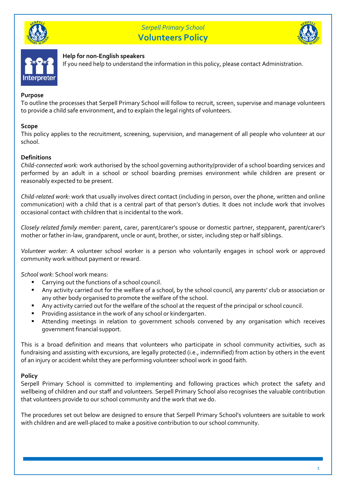





# **Help for non-English speakers**

If you need help to understand the information in this policy, please contact Administration.

#### **Purpose**

To outline the processes that Serpell Primary School will follow to recruit, screen, supervise and manage volunteers to provide a child safe environment, and to explain the legal rights of volunteers.

## **Scope**

This policy applies to the recruitment, screening, supervision, and management of all people who volunteer at our school.

## **Definitions**

*Child-connected work:* work authorised by the school governing authority/provider of a school boarding services and performed by an adult in a school or school boarding premises environment while children are present or reasonably expected to be present.

*Child-related work*: work that usually involves direct contact (including in person, over the phone, written and online communication) with a child that is a central part of that person's duties. It does not include work that involves occasional contact with children that is incidental to the work.

*Closely related family member:* parent, carer, parent/carer's spouse or domestic partner, stepparent, parent/carer's mother or father in-law, grandparent, uncle or aunt, brother, or sister, including step or half siblings.

*Volunteer worker*: A volunteer school worker is a person who voluntarily engages in school work or approved community work without payment or reward.

*School work*: School work means:

- Carrying out the functions of a school council.
- Any activity carried out for the welfare of a school, by the school council, any parents' club or association or any other body organised to promote the welfare of the school.
- Any activity carried out for the welfare of the school at the request of the principal or school council.
- Providing assistance in the work of any school or kindergarten.
- Attending meetings in relation to government schools convened by any organisation which receives government financial support.

This is a broad definition and means that volunteers who participate in school community activities, such as fundraising and assisting with excursions, are legally protected (i.e., indemnified) from action by others in the event of an injury or accident whilst they are performing volunteer school work in good faith.

# **Policy**

Serpell Primary School is committed to implementing and following practices which protect the safety and wellbeing of children and our staff and volunteers. Serpell Primary School also recognises the valuable contribution that volunteers provide to our school community and the work that we do.

The procedures set out below are designed to ensure that Serpell Primary School's volunteers are suitable to work with children and are well-placed to make a positive contribution to our school community.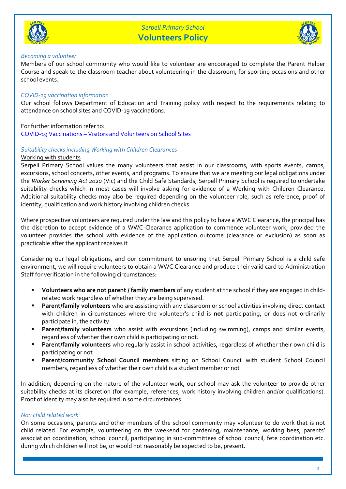



#### *Becoming a volunteer*

Members of our school community who would like to volunteer are encouraged to complete the Parent Helper Course and speak to the classroom teacher about volunteering in the classroom, for sporting occasions and other school events.

# *COVID-19 vaccination information*

Our school follows Department of Education and Training policy with respect to the requirements relating to attendance on school sites and COVID-19 vaccinations.

For further information refer to:

COVID-19 Vaccinations – [Visitors and Volunteers on School Sites](https://www2.education.vic.gov.au/pal/covid-19-vaccinations-visitors-volunteers/policy)

## *Suitability checks including Working with Children Clearances*

#### Working with students

Serpell Primary School values the many volunteers that assist in our classrooms, with sports events, camps, excursions, school concerts, other events, and programs. To ensure that we are meeting our legal obligations under the *Worker Screening Act 2020* (Vic) and the Child Safe Standards, Serpell Primary School is required to undertake suitability checks which in most cases will involve asking for evidence of a Working with Children Clearance. Additional suitability checks may also be required depending on the volunteer role, such as reference, proof of identity, qualification and work history involving children checks.

Where prospective volunteers are required under the law and this policy to have a WWC Clearance, the principal has the discretion to accept evidence of a WWC Clearance application to commence volunteer work, provided the volunteer provides the school with evidence of the application outcome (clearance or exclusion) as soon as practicable after the applicant receives it

Considering our legal obligations, and our commitment to ensuring that Serpell Primary School is a child safe environment, we will require volunteers to obtain a WWC Clearance and produce their valid card to Administration Staff for verification in the following circumstances:

- **Volunteers who are not parent / family members** of any student at the school if they are engaged in childrelated work regardless of whether they are being supervised.
- Parent/family volunteers who are assisting with any classroom or school activities involving direct contact with children in circumstances where the volunteer's child is **not** participating, or does not ordinarily participate in, the activity.
- **Parent/family volunteers** who assist with excursions (including swimming), camps and similar events, regardless of whether their own child is participating or not.
- Parent/family volunteers who regularly assist in school activities, regardless of whether their own child is participating or not.
- **Parent/community School Council members** sitting on School Council with student School Council members, regardless of whether their own child is a student member or not

In addition, depending on the nature of the volunteer work, our school may ask the volunteer to provide other suitability checks at its discretion (for example, references, work history involving children and/or qualifications). Proof of identity may also be required in some circumstances.

#### *Non child related work*

On some occasions, parents and other members of the school community may volunteer to do work that is not child related. For example, volunteering on the weekend for gardening, maintenance, working bees, parents' association coordination, school council, participating in sub-committees of school council, fete coordination etc. during which children will not be, or would not reasonably be expected to be, present.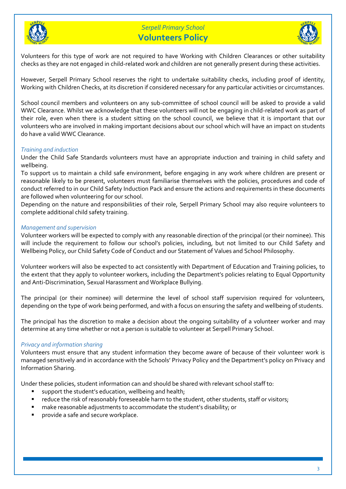



Volunteers for this type of work are not required to have Working with Children Clearances or other suitability checks as they are not engaged in child-related work and children are not generally present during these activities.

However, Serpell Primary School reserves the right to undertake suitability checks, including proof of identity, Working with Children Checks, at its discretion if considered necessary for any particular activities or circumstances.

School council members and volunteers on any sub-committee of school council will be asked to provide a valid WWC Clearance. Whilst we acknowledge that these volunteers will not be engaging in child-related work as part of their role, even when there is a student sitting on the school council, we believe that it is important that our volunteers who are involved in making important decisions about our school which will have an impact on students do have a valid WWC Clearance.

# *Training and induction*

Under the Child Safe Standards volunteers must have an appropriate induction and training in child safety and wellbeing.

To support us to maintain a child safe environment, before engaging in any work where children are present or reasonable likely to be present, volunteers must familiarise themselves with the policies, procedures and code of conduct referred to in our Child Safety Induction Pack and ensure the actions and requirements in these documents are followed when volunteering for our school.

Depending on the nature and responsibilities of their role, Serpell Primary School may also require volunteers to complete additional child safety training.

## *Management and supervision*

Volunteer workers will be expected to comply with any reasonable direction of the principal (or their nominee). This will include the requirement to follow our school's policies, including, but not limited to our Child Safety and Wellbeing Policy, our Child Safety Code of Conduct and our Statement of Values and School Philosophy.

Volunteer workers will also be expected to act consistently with Department of Education and Training policies, to the extent that they apply to volunteer workers, including the Department's policies relating to Equal Opportunity and Anti-Discrimination, Sexual Harassment and Workplace Bullying.

The principal (or their nominee) will determine the level of school staff supervision required for volunteers, depending on the type of work being performed, and with a focus on ensuring the safety and wellbeing of students.

The principal has the discretion to make a decision about the ongoing suitability of a volunteer worker and may determine at any time whether or not a person is suitable to volunteer at Serpell Primary School.

# *Privacy and information sharing*

Volunteers must ensure that any student information they become aware of because of their volunteer work is managed sensitively and in accordance with the Schools' Privacy Policy and the Department's policy on Privacy and Information Sharing.

Under these policies, student information can and should be shared with relevant school staff to:

- support the student's education, wellbeing and health;
- reduce the risk of reasonably foreseeable harm to the student, other students, staff or visitors;
- make reasonable adjustments to accommodate the student's disability; or
- provide a safe and secure workplace.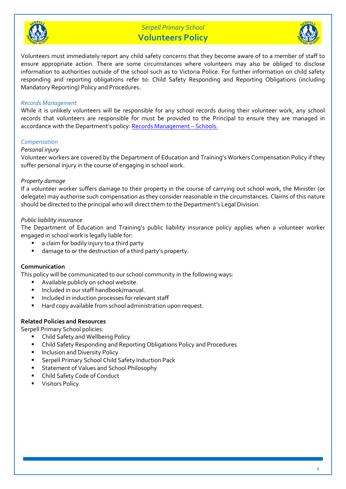



Volunteers must immediately report any child safety concerns that they become aware of to a member of staff to ensure appropriate action. There are some circumstances where volunteers may also be obliged to disclose information to authorities outside of the school such as to Victoria Police. For further information on child safety responding and reporting obligations refer to: Child Safety Responding and Reporting Obligations (including Mandatory Reporting) Policy and Procedures.

## *Records Management*

While it is unlikely volunteers will be responsible for any school records during their volunteer work, any school records that volunteers are responsible for must be provided to the Principal to ensure they are managed in accordance with the Department's policy[: Records Management](https://www2.education.vic.gov.au/pal/records-management/policy) – Schools.

## *Compensation*

#### *Personal injury*

Volunteer workers are covered by the Department of Education and Training's Workers Compensation Policy if they suffer personal injury in the course of engaging in school work.

## *Property damage*

If a volunteer worker suffers damage to their property in the course of carrying out school work, the Minister (or delegate) may authorise such compensation as they consider reasonable in the circumstances. Claims of this nature should be directed to the principal who will direct them to the Department's Legal Division.

## *Public liability insurance*

The Department of Education and Training's public liability insurance policy applies when a volunteer worker engaged in school work is legally liable for:

- a claim for bodily injury to a third party
- damage to or the destruction of a third party's property.

#### **Communication**

This policy will be communicated to our school community in the following ways:

- Available publicly on school website.
- Included in our staff handbook/manual.
- Included in induction processes for relevant staff
- Hard copy available from school administration upon request.

# **Related Policies and Resources**

Serpell Primary School policies:

- Child Safety and Wellbeing Policy
- Child Safety Responding and Reporting Obligations Policy and Procedures
- **■** Inclusion and Diversity Policy
- Serpell Primary School Child Safety Induction Pack
- Statement of Values and School Philosophy
- Child Safety Code of Conduct
- **Visitors Policy**